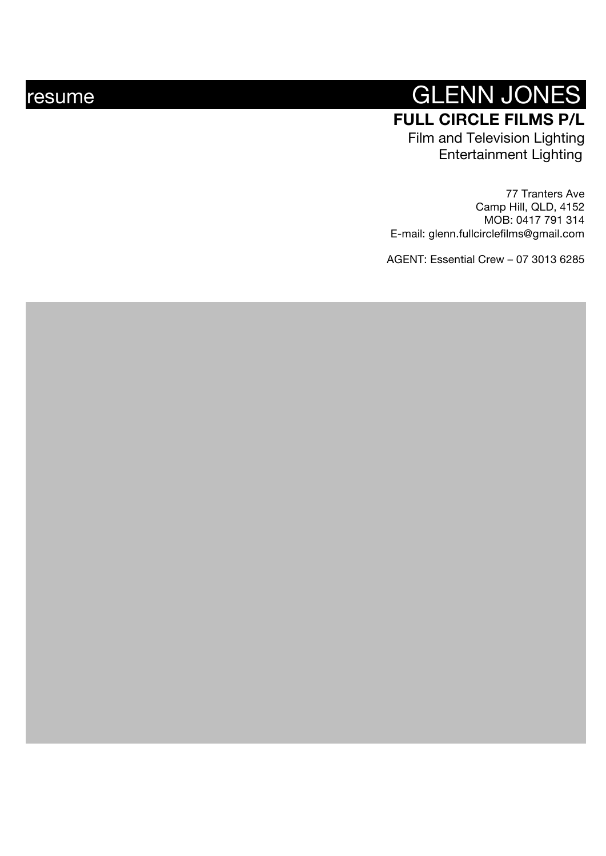# resume GLENN JONES **FULL CIRCLE FILMS P/L** Film and Television Lighting Entertainment Lighting

77 Tranters Ave Camp Hill, QLD, 4152 MOB: 0417 791 314 E -mail: glenn.fullcirclefilms@gmail.com

AGENT: Essential Crew – 07 3013 6285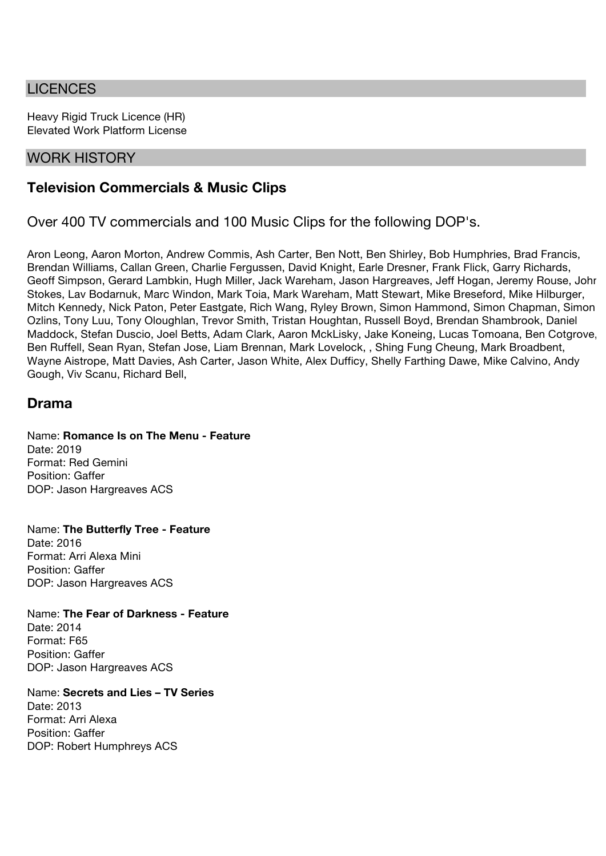## **LICENCES**

Heavy Rigid Truck Licence (HR) Elevated Work Platform License

### WORK HISTORY

# **Television Commercials & Music Clips**

Over 400 TV commercials and 100 Music Clips for the following DOP's.

Aron Leong, Aaron Morton, Andrew Commis, Ash Carter, Ben Nott, Ben Shirley, Bob Humphries, Brad Francis, Brendan Williams, Callan Green, Charlie Fergussen, David Knight, Earle Dresner, Frank Flick, Garry Richards, Geoff Simpson, Gerard Lambkin, Hugh Miller, Jack Wareham, Jason Hargreaves, Jeff Hogan, Jeremy Rouse, John Stokes, Lav Bodarnuk, Marc Windon, Mark Toia, Mark Wareham, Matt Stewart, Mike Breseford, Mike Hilburger, Mitch Kennedy, Nick Paton, Peter Eastgate, Rich Wang, Ryley Brown, Simon Hammond, Simon Chapman, Simon Ozlins, Tony Luu, Tony Oloughlan, Trevor Smith, Tristan Houghtan, Russell Boyd, Brendan Shambrook, Daniel Maddock, Stefan Duscio, Joel Betts, Adam Clark, Aaron MckLisky, Jake Koneing, Lucas Tomoana, Ben Cotgrove, Ben Ruffell, Sean Ryan, Stefan Jose, Liam Brennan, Mark Lovelock, , Shing Fung Cheung, Mark Broadbent, Wayne Aistrope, Matt Davies, Ash Carter, Jason White, Alex Dufficy, Shelly Farthing Dawe, Mike Calvino, Andy Gough, Viv Scanu, Richard Bell,

# **Drama**

Name: **Romance Is on The Menu - Feature** Date: 2019 Format: Red Gemini Position: Gaffer DOP: Jason Hargreaves ACS

Name: **The Butterfly Tree - Feature** Date: 2016 Format: Arri Alexa Mini Position: Gaffer DOP: Jason Hargreaves ACS

Name: **The Fear of Darkness - Feature** Date: 2014 Format: F65 Position: Gaffer DOP: Jason Hargreaves ACS

Name: **Secrets and Lies – TV Series** Date: 2013 Format: Arri Alexa Position: Gaffer DOP: Robert Humphreys ACS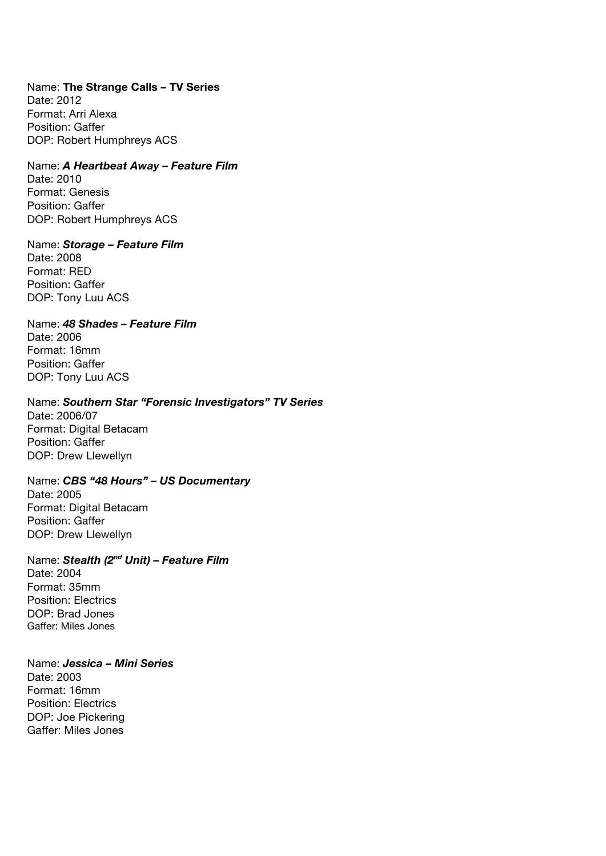Name: **The Strange Calls – TV Series** Date: 2012 Format: Arri Alexa Position: Gaffer DOP: Robert Humphreys ACS

Name: *A Heartbeat Away – Feature Film* Date: 2010 Format: Genesis Position: Gaffer

DOP: Robert Humphreys ACS

Name: *Storage – Feature Film* Date: 2008 Format: RED Position: Gaffer

DOP: Tony Luu ACS Name: *48 Shades – Feature Film* Date: 2006

Format: 16mm Position: Gaffer DOP: Tony Luu ACS

DOP: Drew Llewellyn

Name: *Southern Star "Forensic Investigators" TV Series*  Date: 2006/07 Format: Digital Betacam Position: Gaffer

Name: *CBS "48 Hours" – US Documentary* Date: 2005 Format: Digital Betacam Position: Gaffer DOP: Drew Llewellyn

Name: *Stealth (2nd Unit) – Feature Film* Date: 2004 Format: 35mm Position: Electrics DOP: Brad Jones Gaffer: Miles Jones

Name: *Jessica – Mini Series* Date: 2003 Format: 16mm Position: Electrics DOP: Joe Pickering Gaffer: Miles Jones